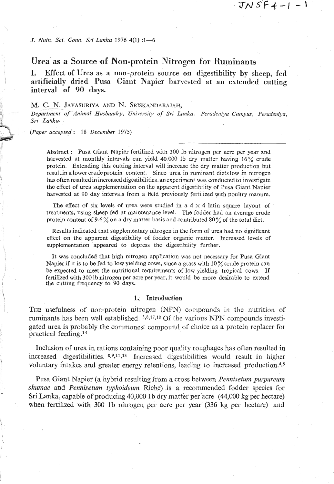$JNSF4-1-1$ 

*J. Natn. Sci. Coun. Sri Lanka* **1976 4(1)** *:1-6* 

# **Urea as a Source of Ron-protein Nitrogen for Ruminants**

**I.** Effect of **Urea as a** non-protein **source on digestibility by sheep,** fed <sup>1</sup>**artificially dried Pusa Giant Napier harvested at an extended cutting interval of 90 days.** 

## M. C. N. JAYASURIYA AND N. SRISKANDARAJAH.

**P** *Department of Animal Husbanclvy, University* **of** *Sri Lanka. Peradeniya Campus, Peradeniya, Sri Lanka.* 

**t,** *(Paper accepted* : *18 December 1975)* 

 $\overline{\ }$ 

**1** 

Abstract : Pusa Giant Napier fertilized with 300 Ib nitrogen per acre per year and harvested at monthly intervals can yield **40,000** lb dry matter having **16%** crude protein. Extending this cutting interval will increase the dry matter production but result in a lower crude protein content. Since urea in ruminant diets low in pitrogen has often resulted in increased digestibilities, an experiment was conducted to investigate the effect of urea supplementation on the apparent digestibility of Pusa Giant Napier harvested at **90** day intervals from a field previously fertilized with poultry manure.

The effect of six levels of urea were studied in a  $4 \times 4$  latin square layout of treatments, using sheep fed at maintenance level. The fodder had an average crude protein content of **9.6%** on a dry matter basis and contributed 80% of the total diet.

Results indicated that supplementary nitrogen in the form of urea had no significant effect on the apparent digestibility of fodder organic matter. Increased levels of supplementation appeared to depress the digestibility further.

It was concluded that high nitrogen application was not necessary for Pusa Giant Napier if it is to be fed to low yielding cows, since a grass with **10%** crude protein can be expected to meet the nutritional requirements of low yielding tropical cows. If 1 fertilized with **300** lb nitrogen per acre per year, it would be more desirable to extend the cutting frequency to 90 days.

#### 1. Introduction

**THE** usefulness of non-protein nitrogen (NPN) compounds in the nutrition of ruminants has been well established. **398s17.18** Of the various NPN compounds investigated urea is probably the commonest compound of choice as a protein replacer for practical feeding.<sup>14</sup>

Inclusion of urea in rations containing poor quality roughages has often resulted in increased digestibilities.  $6.9.11,13$  Increased digestibilities would result in higher voluntary intakes and greater energy retentions, leading to increased production.<sup>4,5</sup>

Pusa Giant Napier (a hybrid resulting from a cross between *Pennisetum purpureum* shumac *and Pennisetum typhoideurn* Riche) is *a* recommended fodder species for Sri Lanka, capable of producing 40,000 Ib dry matter per acre (44,000 kg per hectare) when fertilized with **380** Ib nitrogen per acre per year (336 kg per hectare) and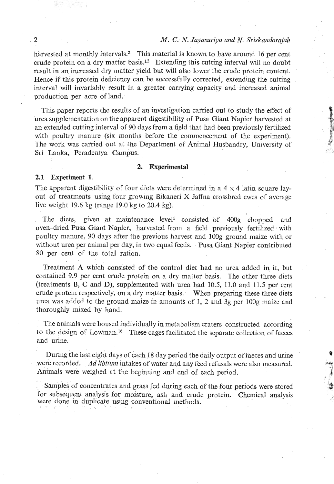## *M. C. N. Jayasuriya and N. Sriskandarajah*

harvested at monthly intervals.<sup>2</sup> This material is known to have around 16 per cent crude protein on a dry matter basis.<sup>12</sup> Extending this cutting interval will no doubt result in an increased dry matter yield but will also lower the crude protein content. Hence if this protein deficiency can be successfully corrected, extending the cutting interval will invariably result in a greater carrying capacity and increased animal production per acre of land.

Tbis paper reports the results of an investigation carried out to study the effect of **P**  urea supplementation on the apparent digestibility of Pusa Giant Napier harvested at **<sup>b</sup>** an extended cutting interval of 90 days from a field that had been previously fertilized with poultry manure (six months before the commencement of the experiment). The work was carried out at the Department of Animal Husbandry, University of Sri Lanka, Peradeniya Campus.

### **2. Experimental**

## **2.1 Experiment 1.**

The apparent digestibility of four diets were determined in a  $4 \times 4$  latin square layout of treatments using four growing Bikaneri X Jaffna crossbred ewes of average live weight 19.6 kg (range 19.0 kg to  $20.4$  kg).

The diets, given at maintenance level<sup>1</sup> consisted of 400g chopped and oven-dried Pusa Giant Napier, harvested from a field previously fertilized with poultry manure, 90 days after the previous harvest and 100g ground maize with or without urea per animal per day, in two equal feeds. Pusa Giant Napier contributed 80 per cent of the total ration.

Treatment **A** which consisted of the control diet had no urea added in it, but contained 9.9 per cent crude protein on a dry matter basis. The other three diets (treatments B, C and D), supplemented with urea had 10.5, 11.0 and 11.5 per cent crude protein respectively, on a dry matter basis. When preparing these three diets urea was added to the ground maize in amounts of  $1$ , 2 and 3g per 100g maize and thoroughly mixed by hand.

The animals were housed individually in metabolism craters constructed according to the design of Lowman.16 These cages facilitated the separate collection of faeces and urine.

During the last eight days of each 18 day period the daily output of faeces and urine **t**  were recorded. *Ad libitum* intakes of water and any feed refusals were also measured. Animals were weighed at the beginning and end of each period. **3** 

Samples of concentrates and grass fed during each of the four periods were stored for subsequent analysis for moisture, ash and crude protein. Chemical analysis were done in duplicate using conventional methods.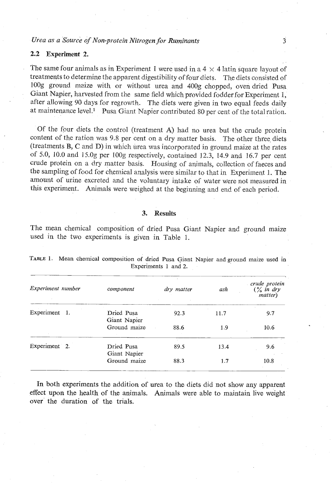## *Urea as a Source of Non-protein Nitrogen for Ruminants* **3**

## **2.2 Experiment 2.**

The same four animals as in Experiment 1 were used in a  $4 \times 4$  latin square layout of treatments to determine the apparent digestibility offour diets. The diets consisted of lO0g ground maize with or without urea and 400g chopped, oven dried Pusa Giant Napier, harvested from the same field which provided fodder for Experiment 1, after allowing 90 days for regrowth. The diets were given in two equal feeds daily at maintenance level.<sup>1</sup> Pusa Giant Napier contributed 80 per cent of the total ration.

Of the four diets the control (treatment **A)** had no urea but the crude protein content of the ration was 9.8 per cent on a dry matter basis. The other three diets (treatments B, C and D) in which urea was incorporated in ground maize at the rates of 5.0, 10.0 and 15.0g per lOOg respectively, contained 12.3, 14.9 and 16.7 per cent crude protein on a dry matter basis. Housing of animals, collection of faeces and the sampling of food for chemical analysis were similar to that in Experiment 1. The amount of urine excreted and the voluntary intake of water were not measured in this experiment. Animals were weighed at the beginning and end of each period.

#### **3. Results**

The mean chemical composition of dried Pusa Giant Napier and ground maize used in the two experiments is given in Table 1.

| Experiment number | component                  | dry matter | ash  | crude protein<br>$\frac{6}{6}$ in dry<br><i>matter</i> ) |
|-------------------|----------------------------|------------|------|----------------------------------------------------------|
| Experiment 1.     | Dried Pusa<br>Giant Napier | 92.3       | 11.7 | 9.7                                                      |
|                   | Ground maize               | 88.6       | 1.9  | 10.6                                                     |
| Experiment 2.     | Dried Pusa<br>Giant Napier | 89.5       | 13.4 | 9.6                                                      |
|                   | Ground maize               | 88.3       | 1.7  | 10.8                                                     |

|  | TABLE 1. Mean chemical composition of dried Pusa Giant Napier and ground maize used in |                      |  |  |  |  |
|--|----------------------------------------------------------------------------------------|----------------------|--|--|--|--|
|  |                                                                                        | Experiments 1 and 2. |  |  |  |  |

In both experiments the addition of urea to the diets did not show any apparent effect upon the health of the animals. Animals were able to maintain live weight over the duration of the trials.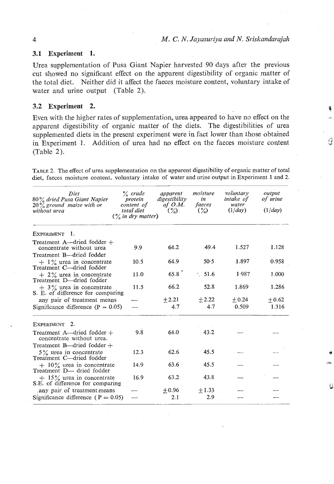## **3.1 Experiment 1.**

Urea supplementation of Pusa Giant Napier harvested 90 days after the previous cut showed no significant effect on the apparent digestibility of organic matter of the total diet. Neither did it affect the faeces moisture content, voluntary intake of water and urine output (Table 2).

### **3.2 Experiment 2. <sup>o</sup>**

Even with the higher rates of supplementation, urea appeared to have no effect on the apparent digestibility of organic matter of the diets. The digestibilities of urea supplemented diets in the present experiment were in fact lower than those obtained in Experiment 1. Addition of urea had no effect on the faeces moisture content (Table 2).

TABLE 2. The effect of urea supplementation on the apparent digestibility of organic matter **of** total diet, faeces moisture content, voluntary intake of water and urine output in Experiment **1** and **2.** 

| Diet<br>80% dried Pusa Giant Napier<br>$20\%$ ground maize with or<br>without urea  | $\%$ crude<br>protein<br>content of<br>total diet<br>$\frac{6}{6}$ in dry matter) | apparent<br>digestibility<br>of $O.M$ .<br>$(\frac{9}{6})$ . | moisture<br>in<br>faeces<br>$\binom{6}{2}$ | voluntary<br>intake of<br>water<br>(1/day) | output<br>of urine<br>(1/day) |
|-------------------------------------------------------------------------------------|-----------------------------------------------------------------------------------|--------------------------------------------------------------|--------------------------------------------|--------------------------------------------|-------------------------------|
| <b>EXPERIMENT</b><br>1.                                                             |                                                                                   |                                                              |                                            |                                            |                               |
| Treatment $A$ —dried fodder $+$<br>concentrate without urea                         | 9.9                                                                               | 64.2                                                         | 49.4                                       | 1.527                                      | 1.128                         |
| Treatment B-dried fodder<br>$+ 1\%$ urea in concentrate<br>Treatment C-dried fodder | 10.5                                                                              | 64.9                                                         | 50.5                                       | 1.897                                      | 0.958                         |
| $+2\%$ urea in concentrate<br>Treatment D-dried fodder                              | 11.0                                                                              | 65.8                                                         | $\cdot$ 51.6                               | 1.987                                      | 1.000                         |
| $+3\%$ urea in concentrate<br>S. E. of difference for comparing                     | 11.5                                                                              | 66.2                                                         | 52.8                                       | 1.869                                      | 1.286                         |
| any pair of treatment means                                                         |                                                                                   | $+2.21$                                                      | $+2.22$                                    | $+0.24$                                    | $+0.62$                       |
| Significance difference ( $P = 0.05$ )                                              |                                                                                   | 4.7                                                          | 4.7                                        | 0.509                                      | 1.316                         |
| EXPERIMENT 2.                                                                       |                                                                                   |                                                              |                                            |                                            |                               |
| Treatment A—dried fodder +<br>concentrate without urea.                             | 9.8                                                                               | 64.0                                                         | 43.2                                       |                                            |                               |
| Treatment B—dried fodder +<br>5% urea in concentrate<br>Treatment C-dried fodder    | 12.3                                                                              | 62.6                                                         | 45.5                                       |                                            |                               |
| $+10\%$ urea in concentrate<br>Treatment D— dried fodder                            | 14.9                                                                              | 63.6                                                         | 45.5                                       |                                            |                               |
| $+ 15\%$ urea in concentrate<br>S.E. of difference for comparing                    | 16.9                                                                              | 63.2                                                         | 43.8                                       |                                            |                               |
| any pair of treatment means                                                         |                                                                                   | $+0.96$                                                      | ±1.33                                      |                                            |                               |
| Significance difference ( $P = 0.05$ )                                              |                                                                                   | 2.1                                                          | 2.9                                        |                                            |                               |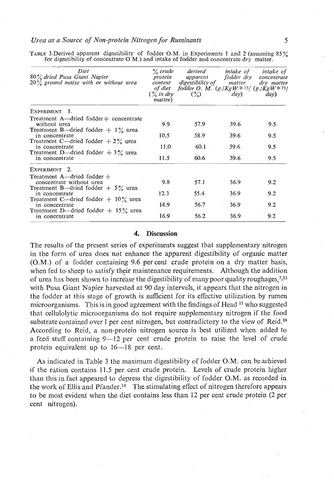### *Urea* **us a** *Source of Non-protein Nitrogen for Runzimts* **5**

TABLE 3.Derived.apparent digestibility of fodder *O.M.* in Experiments 1 and 2 (assuming 85% for digestibility of concentrate O.M.) and intake of fodder and concentrate dry matter.

| Diet<br>80% dried Pusa Giant Napier<br>$20\%$ ground maize with or without urea | $\%$ crude<br>protein<br>content<br>$\frac{6}{2}$ in dry<br>matter) | derived<br>apparent<br>digestibility of matter<br>of diet fodder O. M. $(g./KgW.0.75/ (g./KgW.0.75/$<br>$\binom{9}{2}$ | <i>intake of</i><br>fodder dry<br>day) | intake of<br>concentrate<br>dry matter<br>dav) |
|---------------------------------------------------------------------------------|---------------------------------------------------------------------|------------------------------------------------------------------------------------------------------------------------|----------------------------------------|------------------------------------------------|
| EXPERIMENT<br>- 1.                                                              |                                                                     |                                                                                                                        |                                        |                                                |
| Treatment A—dried fodder+ concentrate<br>without urea                           | 9.9                                                                 | 57.9                                                                                                                   | 39.6                                   | 9.5                                            |
| Treatment B—dried fodder $+1\%$ urea<br>in concentrate                          | 10.5                                                                | 58.9                                                                                                                   | 39.6                                   | 9.5                                            |
| Treatment C—dried fodder $+2\%$ urea<br>in concentrate                          | 11.0                                                                | 60.1                                                                                                                   | 39.6                                   | 9.5                                            |
| Treatment D—dried fodder $+3\%$ urea<br>in concentrate                          | 11.5                                                                | 60.6                                                                                                                   | 39.6                                   | 9.5                                            |
| EXPERIMENT 2.                                                                   |                                                                     |                                                                                                                        |                                        |                                                |
| Treatment $A$ —dried fodder $+$<br>concentrate without urea                     | 9.8                                                                 | 57.1                                                                                                                   | 36.9                                   | 9.2                                            |
| Treatment B—dried fodder $+5\%$ urea<br>in concentrate                          | 12.3                                                                | 55.4                                                                                                                   | 36.9                                   | 9.2                                            |
| Treatment C—dried fodder $+$ 10% urea<br>in concentrate                         | 14.9                                                                | 56.7                                                                                                                   | 36.9                                   | 9.2                                            |
| Treatment D—dried fodder $+$ 15% urea<br>in concentrate                         | 16.9                                                                | 56.2                                                                                                                   | 36.9                                   | 9.2                                            |

## **4. Discussion**

The results of the present series of experiments suggest that supplementary nitrogen in the form of urea does not enhance the apparent digestibility of organic matter (O.M.) of a fodder containing 9.6 per cent crude protein on a dry matter basis, when fed to sheep to satisfy their maintenance requirements. Although the addition of urea has been shown to increase the digestibility of many poor quality roughages,  $7<sup>13</sup>$ with Pusa Giant Napier harvested at 90 day intervals, it appears that the nitrogen in the fodder at this stage of growth is sufficient for its effective utilization by rumen microorganisms. This is in good agreement with the findings of Head <sup>15</sup> who suggested that cellulolytic microorganisms do not require supplementary nitrogen if the food substrate contained over 1 per cent nitrogen, but contradictory to the view of Reid.<sup>18</sup> According to Reid, a non-protein nitrogen source is best utilized when added to a feed stuff containing 9-12 per cent crude protein to raise the level of crude protein equivalent up to 16-18 per cent.

As indicated in Table **3** the maximum digestibility of fodder O.M. can be achieved if the ration, contains 11.5 per cent crude protein. Levels of crude protein ligher than this in fact appeared to depress the digestibility of fodder  $O.M$ . as recorded in the work of Ellis and Pfander.<sup>10</sup> The stimulating effect of nitrogen therefore appears to be most evident when the diet contains less than 12 per cent crude protein (2 per cent nitrogen).